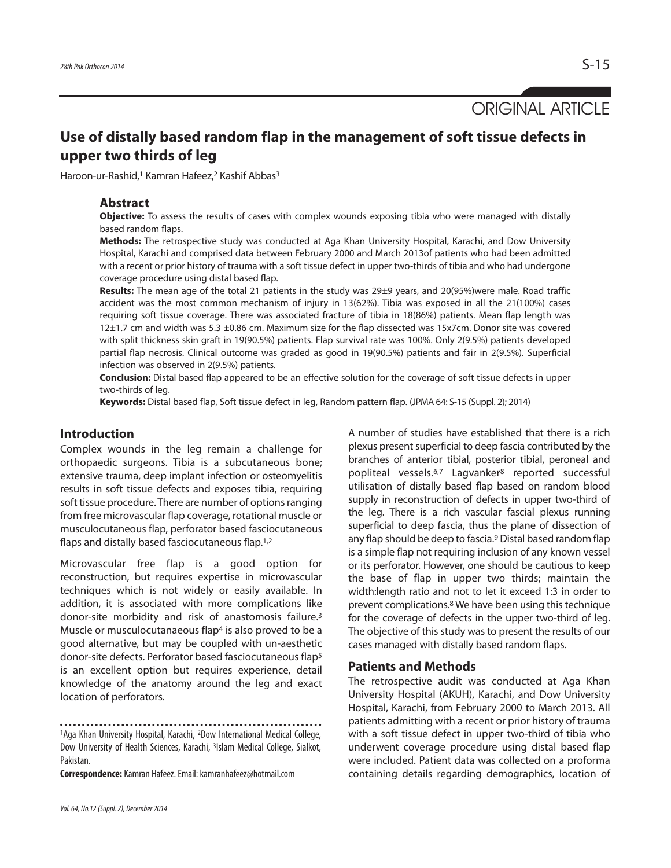ORIGINAL ARTICLE

# **Use of distally based random flap in the management of soft tissue defects in upper two thirds of leg**

Haroon-ur-Rashid,<sup>1</sup> Kamran Hafeez,<sup>2</sup> Kashif Abbas<sup>3</sup>

## **Abstract**

**Objective:** To assess the results of cases with complex wounds exposing tibia who were managed with distally based random flaps.

**Methods:** The retrospective study was conducted at Aga Khan University Hospital, Karachi, and Dow University Hospital, Karachi and comprised data between February 2000 and March 2013of patients who had been admitted with a recent or prior history of trauma with a soft tissue defect in upper two-thirds of tibia and who had undergone coverage procedure using distal based flap.

**Results:** The mean age of the total 21 patients in the study was 29±9 years, and 20(95%)were male. Road traffic accident was the most common mechanism of injury in 13(62%). Tibia was exposed in all the 21(100%) cases requiring soft tissue coverage. There was associated fracture of tibia in 18(86%) patients. Mean flap length was 12±1.7 cm and width was 5.3 ±0.86 cm. Maximum size for the flap dissected was 15x7cm. Donor site was covered with split thickness skin graft in 19(90.5%) patients. Flap survival rate was 100%. Only 2(9.5%) patients developed partial flap necrosis. Clinical outcome was graded as good in 19(90.5%) patients and fair in 2(9.5%). Superficial infection was observed in 2(9.5%) patients.

**Conclusion:** Distal based flap appeared to be an effective solution for the coverage of soft tissue defects in upper two-thirds of leg.

**Keywords:** Distal based flap, Soft tissue defect in leg, Random pattern flap. (JPMA 64: S-15 (Suppl. 2); 2014)

# **Introduction**

Complex wounds in the leg remain a challenge for orthopaedic surgeons. Tibia is a subcutaneous bone; extensive trauma, deep implant infection or osteomyelitis results in soft tissue defects and exposes tibia, requiring soft tissue procedure. There are number of options ranging from free microvascular flap coverage, rotational muscle or musculocutaneous flap, perforator based fasciocutaneous flaps and distally based fasciocutaneous flap.<sup>1,2</sup>

Microvascular free flap is a good option for reconstruction, but requires expertise in microvascular techniques which is not widely or easily available. In addition, it is associated with more complications like donor-site morbidity and risk of anastomosis failure.<sup>3</sup> Muscle or musculocutanaeous flap<sup>4</sup> is also proved to be a good alternative, but may be coupled with un-aesthetic donor-site defects. Perforator based fasciocutaneous flap<sup>5</sup> is an excellent option but requires experience, detail knowledge of the anatomy around the leg and exact location of perforators.

**Correspondence:** Kamran Hafeez. Email: kamranhafeez@hotmail.com

Vol. 64, No.12 (Suppl. 2), December 2014

A number of studies have established that there is a rich plexus present superficial to deep fascia contributed by the branches of anterior tibial, posterior tibial, peroneal and popliteal vessels.6,7 Lagvanker<sup>8</sup> reported successful utilisation of distally based flap based on random blood supply in reconstruction of defects in upper two-third of the leg. There is a rich vascular fascial plexus running superficial to deep fascia, thus the plane of dissection of any flap should be deep to fascia.<sup>9</sup> Distal based random flap is a simple flap not requiring inclusion of any known vessel or its perforator. However, one should be cautious to keep the base of flap in upper two thirds; maintain the width:length ratio and not to let it exceed 1:3 in order to prevent complications.<sup>8</sup> We have been using this technique for the coverage of defects in the upper two-third of leg. The objective of this study was to present the results of our cases managed with distally based random flaps.

#### **Patients and Methods**

The retrospective audit was conducted at Aga Khan University Hospital (AKUH), Karachi, and Dow University Hospital, Karachi, from February 2000 to March 2013. All patients admitting with a recent or prior history of trauma with a soft tissue defect in upper two-third of tibia who underwent coverage procedure using distal based flap were included. Patient data was collected on a proforma containing details regarding demographics, location of

<sup>1</sup>Aga Khan University Hospital, Karachi, <sup>2</sup>Dow International Medical College, Dow University of Health Sciences, Karachi, <sup>3</sup>Islam Medical College, Sialkot, Pakistan.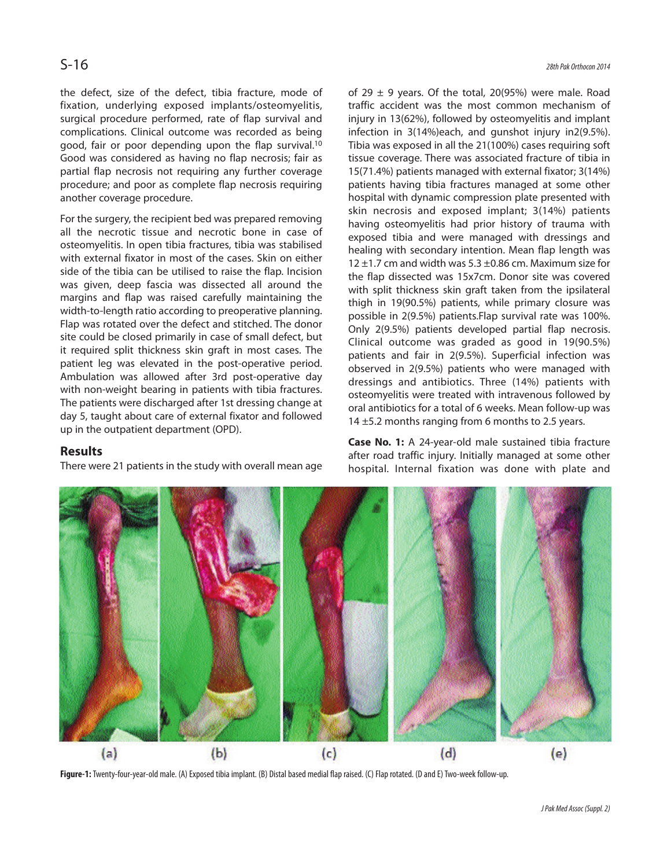the defect, size of the defect, tibia fracture, mode of fixation, underlying exposed implants/osteomyelitis, surgical procedure performed, rate of flap survival and complications. Clinical outcome was recorded as being good, fair or poor depending upon the flap survival.<sup>10</sup> Good was considered as having no flap necrosis; fair as partial flap necrosis not requiring any further coverage procedure; and poor as complete flap necrosis requiring another coverage procedure.

For the surgery, the recipient bed was prepared removing all the necrotic tissue and necrotic bone in case of osteomyelitis. In open tibia fractures, tibia was stabilised with external fixator in most of the cases. Skin on either side of the tibia can be utilised to raise the flap. Incision was given, deep fascia was dissected all around the margins and flap was raised carefully maintaining the width-to-length ratio according to preoperative planning. Flap was rotated over the defect and stitched. The donor site could be closed primarily in case of small defect, but it required split thickness skin graft in most cases. The patient leg was elevated in the post-operative period. Ambulation was allowed after 3rd post-operative day with non-weight bearing in patients with tibia fractures. The patients were discharged after 1st dressing change at day 5, taught about care of external fixator and followed up in the outpatient department (OPD).

# **Results**

There were 21 patients in the study with overall mean age

of 29  $\pm$  9 years. Of the total, 20(95%) were male. Road traffic accident was the most common mechanism of injury in 13(62%), followed by osteomyelitis and implant infection in 3(14%)each, and gunshot injury in2(9.5%). Tibia was exposed in all the 21(100%) cases requiring soft tissue coverage. There was associated fracture of tibia in 15(71.4%) patients managed with external fixator; 3(14%) patients having tibia fractures managed at some other hospital with dynamic compression plate presented with skin necrosis and exposed implant; 3(14%) patients having osteomyelitis had prior history of trauma with exposed tibia and were managed with dressings and healing with secondary intention. Mean flap length was 12  $\pm$ 1.7 cm and width was 5.3  $\pm$ 0.86 cm. Maximum size for the flap dissected was 15x7cm. Donor site was covered with split thickness skin graft taken from the ipsilateral thigh in 19(90.5%) patients, while primary closure was possible in 2(9.5%) patients.Flap survival rate was 100%. Only 2(9.5%) patients developed partial flap necrosis. Clinical outcome was graded as good in 19(90.5%) patients and fair in 2(9.5%). Superficial infection was observed in 2(9.5%) patients who were managed with dressings and antibiotics. Three (14%) patients with osteomyelitis were treated with intravenous followed by oral antibiotics for a total of 6 weeks. Mean follow-up was 14 ±5.2 months ranging from 6 months to 2.5 years.

**Case No. 1:** A 24-year-old male sustained tibia fracture after road traffic injury. Initially managed at some other hospital. Internal fixation was done with plate and



**Figure-1:** Twenty-four-year-old male. (A) Exposed tibia implant. (B) Distal based medial flap raised. (C) Flap rotated. (D and E) Two-week follow-up.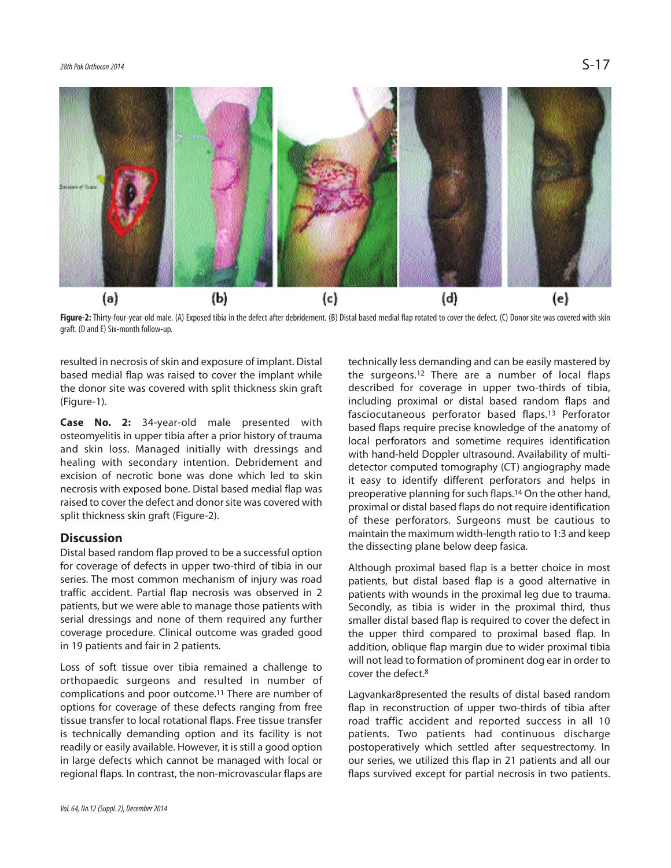

Figure-2: Thirty-four-year-old male. (A) Exposed tibia in the defect after debridement. (B) Distal based medial flap rotated to cover the defect. (C) Donor site was covered with skin graft. (D and E) Six-month follow-up.

resulted in necrosis of skin and exposure of implant. Distal based medial flap was raised to cover the implant while the donor site was covered with split thickness skin graft (Figure-1).

**Case No. 2:** 34-year-old male presented with osteomyelitis in upper tibia after a prior history of trauma and skin loss. Managed initially with dressings and healing with secondary intention. Debridement and excision of necrotic bone was done which led to skin necrosis with exposed bone. Distal based medial flap was raised to cover the defect and donor site was covered with split thickness skin graft (Figure-2).

## **Discussion**

Distal based random flap proved to be a successful option for coverage of defects in upper two-third of tibia in our series. The most common mechanism of injury was road traffic accident. Partial flap necrosis was observed in 2 patients, but we were able to manage those patients with serial dressings and none of them required any further coverage procedure. Clinical outcome was graded good in 19 patients and fair in 2 patients.

Loss of soft tissue over tibia remained a challenge to orthopaedic surgeons and resulted in number of complications and poor outcome.<sup>11</sup> There are number of options for coverage of these defects ranging from free tissue transfer to local rotational flaps. Free tissue transfer is technically demanding option and its facility is not readily or easily available. However, it is still a good option in large defects which cannot be managed with local or regional flaps. In contrast, the non-microvascular flaps are

described for coverage in upper two-thirds of tibia, including proximal or distal based random flaps and fasciocutaneous perforator based flaps.<sup>13</sup> Perforator based flaps require precise knowledge of the anatomy of local perforators and sometime requires identification with hand-held Doppler ultrasound. Availability of multidetector computed tomography (CT) angiography made it easy to identify different perforators and helps in preoperative planning for such flaps.<sup>14</sup> On the other hand, proximal or distal based flaps do not require identification of these perforators. Surgeons must be cautious to maintain the maximum width-length ratio to 1:3 and keep the dissecting plane below deep fasica. Although proximal based flap is a better choice in most

technically less demanding and can be easily mastered by the surgeons.<sup>12</sup> There are a number of local flaps

patients, but distal based flap is a good alternative in patients with wounds in the proximal leg due to trauma. Secondly, as tibia is wider in the proximal third, thus smaller distal based flap is required to cover the defect in the upper third compared to proximal based flap. In addition, oblique flap margin due to wider proximal tibia will not lead to formation of prominent dog ear in order to cover the defect.<sup>8</sup>

Lagvankar8presented the results of distal based random flap in reconstruction of upper two-thirds of tibia after road traffic accident and reported success in all 10 patients. Two patients had continuous discharge postoperatively which settled after sequestrectomy. In our series, we utilized this flap in 21 patients and all our flaps survived except for partial necrosis in two patients.